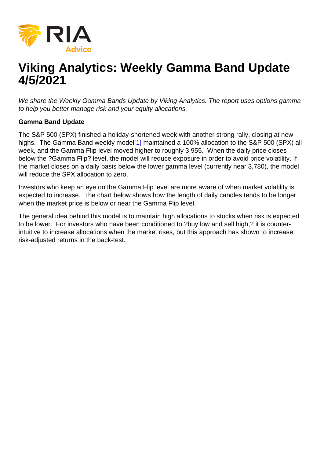# <span id="page-0-0"></span>Viking Analytics: Weekly Gamma Band Update 4/5/2021

We share the Weekly Gamma Bands Update by Viking Analytics. The report uses options gamma to help you better manage risk and your equity allocations.

#### Gamma Band Update

The S&P 500 (SPX) finished a holiday-shortened week with another strong rally, closing at new highs. The Gamma Band weekly model<sup>[\[1\]](#page-3-0)</sup> maintained a 100% allocation to the S&P 500 (SPX) all week, and the Gamma Flip level moved higher to roughly 3,955. When the daily price closes below the ?Gamma Flip? level, the model will reduce exposure in order to avoid price volatility. If the market closes on a daily basis below the lower gamma level (currently near 3,780), the model will reduce the SPX allocation to zero.

Investors who keep an eye on the Gamma Flip level are more aware of when market volatility is expected to increase. The chart below shows how the length of daily candles tends to be longer when the market price is below or near the Gamma Flip level.

The general idea behind this model is to maintain high allocations to stocks when risk is expected to be lower. For investors who have been conditioned to ?buy low and sell high,? it is counterintuitive to increase allocations when the market rises, but this approach has shown to increase risk-adjusted returns in the back-test.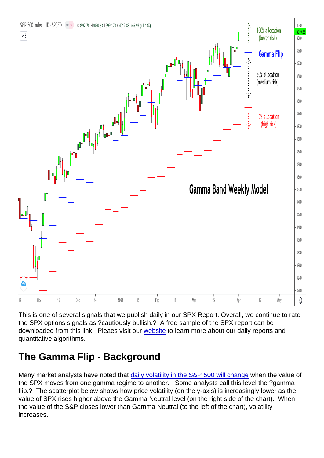This is one of several signals that we publish daily in our SPX Report. Overall, we continue to rate the SPX options signals as ?cautiously bullish.? A free sample of the SPX report can be downloaded from this link. Pleaes visit our [website](https://viking-analytics.com/) to learn more about our daily reports and quantitative algorithms.

# The Gamma Flip - Background

Many market analysts have noted that [daily volatility in the S&P 500 will change](https://www.wsj.com/articles/markets-are-calm-then-suddenly-go-crazy-some-investors-think-they-know-why-11562666400?shareToken=st3e86ec3955124ea48f33c65b52e2be75) when the value of the SPX moves from one gamma regime to another. Some analysts call this level the ?gamma flip.? The scatterplot below shows how price volatility (on the y-axis) is increasingly lower as the value of SPX rises higher above the Gamma Neutral level (on the right side of the chart). When the value of the S&P closes lower than Gamma Neutral (to the left of the chart), volatility increases.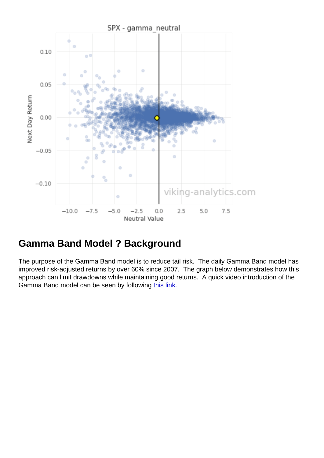## Gamma Band Model ? Background

The purpose of the Gamma Band model is to reduce tail risk. The daily Gamma Band model has improved risk-adjusted returns by over 60% since 2007. The graph below demonstrates how this approach can limit drawdowns while maintaining good returns. A quick video introduction of the Gamma Band model can be seen by following [this link](https://youtu.be/VRWweBwa6XY).